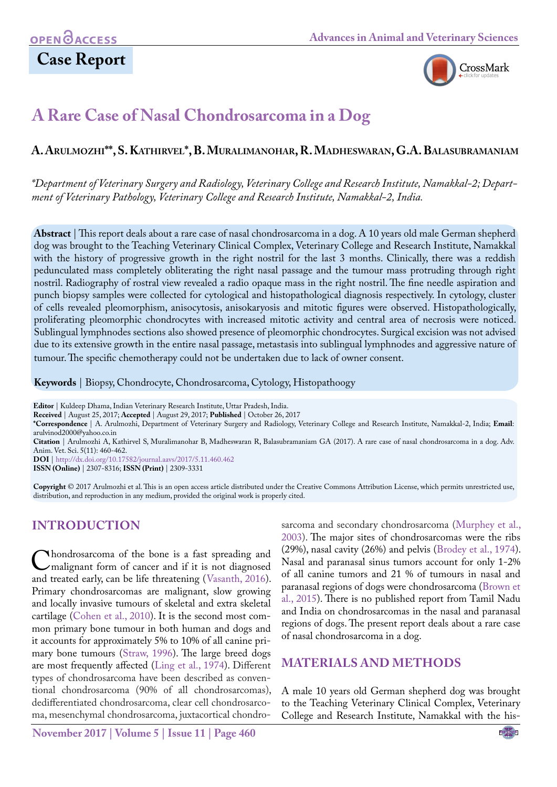# **Case Report**



# **A Rare Case of Nasal Chondrosarcoma in a Dog**

#### **A. Arulmozhi\*\*, S. Kathirvel\*, B. Muralimanohar, R. Madheswaran, G.A. Balasubramaniam**

*\*Department of Veterinary Surgery and Radiology, Veterinary College and Research Institute, Namakkal-2; Department of Veterinary Pathology, Veterinary College and Research Institute, Namakkal-2, India.*

**Abstract** | This report deals about a rare case of nasal chondrosarcoma in a dog. A 10 years old male German shepherd dog was brought to the Teaching Veterinary Clinical Complex, Veterinary College and Research Institute, Namakkal with the history of progressive growth in the right nostril for the last 3 months. Clinically, there was a reddish pedunculated mass completely obliterating the right nasal passage and the tumour mass protruding through right nostril. Radiography of rostral view revealed a radio opaque mass in the right nostril. The fine needle aspiration and punch biopsy samples were collected for cytological and histopathological diagnosis respectively. In cytology, cluster of cells revealed pleomorphism, anisocytosis, anisokaryosis and mitotic figures were observed. Histopathologically, proliferating pleomorphic chondrocytes with increased mitotic activity and central area of necrosis were noticed. Sublingual lymphnodes sections also showed presence of pleomorphic chondrocytes. Surgical excision was not advised due to its extensive growth in the entire nasal passage, metastasis into sublingual lymphnodes and aggressive nature of tumour. The specific chemotherapy could not be undertaken due to lack of owner consent.

**Keywords** | Biopsy, Chondrocyte, Chondrosarcoma, Cytology, Histopathoogy

**Received** | August 25, 2017; **Accepted** | August 29, 2017; **Published** | October 26, 2017

**\*Correspondence** | A. Arulmozhi, Department of Veterinary Surgery and Radiology, Veterinary College and Research Institute, Namakkal-2, India; **Email**: arulvinod2000@yahoo.co.in

**Citation** | Arulmozhi A, Kathirvel S, Muralimanohar B, Madheswaran R, Balasubramaniam GA (2017). A rare case of nasal chondrosarcoma in a dog. Adv. Anim. Vet. Sci. 5(11): 460-462.

**DOI** | <http://dx.doi.org/10.17582/journal.aavs/2017/5.11.460.462>

**ISSN (Online)** | 2307-8316; **ISSN (Print)** | 2309-3331

**Copyright** © 2017 Arulmozhi et al. This is an open access article distributed under the Creative Commons Attribution License, which permits unrestricted use, distribution, and reproduction in any medium, provided the original work is properly cited.

## **Introduction**

Chondrosarcoma of the bone is a fast spreading and<br>
malignant form of cancer and if it is not diagnosed<br>
and treated early can be life threatening (Vasanth, 2016) and treated early, can be life threatening (Vasanth, 2016). Primary chondrosarcomas are malignant, slow growing and locally invasive tumours of skeletal and extra skeletal cartilage [\(Cohen et al., 2010\)](#page-2-1). It is the second most common primary bone tumour in both human and dogs and it accounts for approximately 5% to 10% of all canine primary bone tumours [\(Straw, 1996\)](#page-2-2). The large breed dogs are most frequently affected [\(Ling et al., 1974\)](#page-2-3). Different types of chondrosarcoma have been described as conventional chondrosarcoma (90% of all chondrosarcomas), dedifferentiated chondrosarcoma, clear cell chondrosarcoma, mesenchymal chondrosarcoma, juxtacortical chondro-

sarcoma and secondary chondrosarcoma [\(Murphey et al.,](#page-2-4) [2003\)](#page-2-4). The major sites of chondrosarcomas were the ribs (29%), nasal cavity (26%) and pelvis [\(Brodey et al., 1974\)](#page-2-5). Nasal and paranasal sinus tumors account for only 1-2% of all canine tumors and 21 % of tumours in nasal and paranasal regions of dogs were chondrosarcoma ([Brown et](#page-2-6) [al., 2015\)](#page-2-6). There is no published report from Tamil Nadu and India on chondrosarcomas in the nasal and paranasal regions of dogs. The present report deals about a rare case of nasal chondrosarcoma in a dog.

## **Materials and methods**

A male 10 years old German shepherd dog was brought to the Teaching Veterinary Clinical Complex, Veterinary College and Research Institute, Namakkal with the his-

**Editor** | Kuldeep Dhama, Indian Veterinary Research Institute, Uttar Pradesh, India.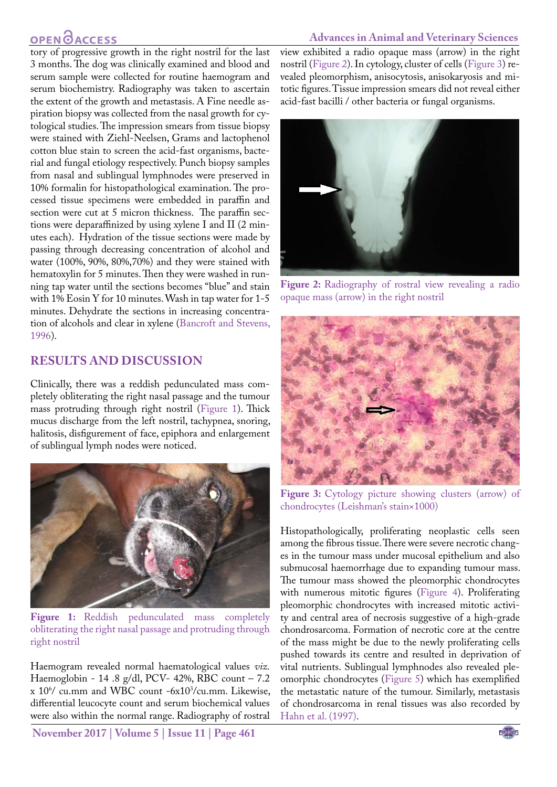## **OPEN GACCESS**

tory of progressive growth in the right nostril for the last 3 months. The dog was clinically examined and blood and serum sample were collected for routine haemogram and serum biochemistry. Radiography was taken to ascertain the extent of the growth and metastasis. A Fine needle aspiration biopsy was collected from the nasal growth for cytological studies. The impression smears from tissue biopsy were stained with Ziehl-Neelsen, Grams and lactophenol cotton blue stain to screen the acid-fast organisms, bacterial and fungal etiology respectively. Punch biopsy samples from nasal and sublingual lymphnodes were preserved in 10% formalin for histopathological examination. The processed tissue specimens were embedded in paraffin and section were cut at 5 micron thickness. The paraffin sections were deparaffinized by using xylene I and II (2 minutes each). Hydration of the tissue sections were made by passing through decreasing concentration of alcohol and water (100%, 90%, 80%,70%) and they were stained with hematoxylin for 5 minutes. Then they were washed in running tap water until the sections becomes "blue" and stain with 1% Eosin Y for 10 minutes. Wash in tap water for 1-5 minutes. Dehydrate the sections in increasing concentration of alcohols and clear in xylene [\(Bancroft and Stevens,](#page-2-7) [1996](#page-2-7)).

## **Results and Discussion**

Clinically, there was a reddish pedunculated mass completely obliterating the right nasal passage and the tumour mass protruding through right nostril [\(Figure 1\)](#page-1-0). Thick mucus discharge from the left nostril, tachypnea, snoring, halitosis, disfigurement of face, epiphora and enlargement of sublingual lymph nodes were noticed.



Figure 1: Reddish pedunculated mass completely obliterating the right nasal passage and protruding through right nostril

<span id="page-1-0"></span>Haemogram revealed normal haematological values *viz.*  Haemoglobin - 14 .8 g/dl, PCV- 42%, RBC count – 7.2  $\propto 10^{6}/$  cu.mm and WBC count -6x10<sup>3</sup>/cu.mm. Likewise, differential leucocyte count and serum biochemical values were also within the normal range. Radiography of rostral

**November 2017 | Volume 5 | Issue 11 | Page 461**

#### **Advances in Animal and Veterinary Sciences**

view exhibited a radio opaque mass (arrow) in the right nostril [\(Figure 2](#page-1-1)). In cytology, cluster of cells (Figure 3) revealed pleomorphism, anisocytosis, anisokaryosis and mitotic figures. Tissue impression smears did not reveal either acid-fast bacilli / other bacteria or fungal organisms.



Figure 2: Radiography of rostral view revealing a radio opaque mass (arrow) in the right nostril

<span id="page-1-1"></span>

**Figure 3:** Cytology picture showing clusters (arrow) of chondrocytes (Leishman's stain×1000)

Histopathologically, proliferating neoplastic cells seen among the fibrous tissue. There were severe necrotic changes in the tumour mass under mucosal epithelium and also submucosal haemorrhage due to expanding tumour mass. The tumour mass showed the pleomorphic chondrocytes with numerous mitotic figures (Figure 4). Proliferating pleomorphic chondrocytes with increased mitotic activity and central area of necrosis suggestive of a high-grade chondrosarcoma. Formation of necrotic core at the centre of the mass might be due to the newly proliferating cells pushed towards its centre and resulted in deprivation of vital nutrients. Sublingual lymphnodes also revealed pleomorphic chondrocytes (Figure 5) which has exemplified the metastatic nature of the tumour. Similarly, metastasis of chondrosarcoma in renal tissues was also recorded by [Hahn et al. \(1997\).](#page-2-8)